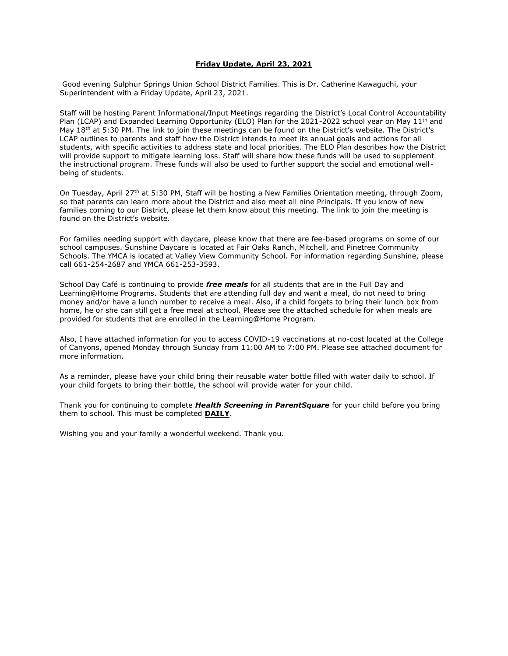## **Friday Update, April 23, 2021**

Good evening Sulphur Springs Union School District Families. This is Dr. Catherine Kawaguchi, your Superintendent with a Friday Update, April 23, 2021.

Staff will be hosting Parent Informational/Input Meetings regarding the District's Local Control Accountability Plan (LCAP) and Expanded Learning Opportunity (ELO) Plan for the 2021-2022 school year on May 11<sup>th</sup> and May 18<sup>th</sup> at 5:30 PM. The link to join these meetings can be found on the District's website. The District's LCAP outlines to parents and staff how the District intends to meet its annual goals and actions for all students, with specific activities to address state and local priorities. The ELO Plan describes how the District will provide support to mitigate learning loss. Staff will share how these funds will be used to supplement the instructional program. These funds will also be used to further support the social and emotional wellbeing of students.

On Tuesday, April 27<sup>th</sup> at 5:30 PM, Staff will be hosting a New Families Orientation meeting, through Zoom, so that parents can learn more about the District and also meet all nine Principals. If you know of new families coming to our District, please let them know about this meeting. The link to join the meeting is found on the District's website.

For families needing support with daycare, please know that there are fee-based programs on some of our school campuses. Sunshine Daycare is located at Fair Oaks Ranch, Mitchell, and Pinetree Community Schools. The YMCA is located at Valley View Community School. For information regarding Sunshine, please call 661-254-2687 and YMCA 661-253-3593.

School Day Café is continuing to provide *free meals* for all students that are in the Full Day and Learning@Home Programs. Students that are attending full day and want a meal, do not need to bring money and/or have a lunch number to receive a meal. Also, if a child forgets to bring their lunch box from home, he or she can still get a free meal at school. Please see the attached schedule for when meals are provided for students that are enrolled in the Learning@Home Program.

Also, I have attached information for you to access COVID-19 vaccinations at no-cost located at the College of Canyons, opened Monday through Sunday from 11:00 AM to 7:00 PM. Please see attached document for more information.

As a reminder, please have your child bring their reusable water bottle filled with water daily to school. If your child forgets to bring their bottle, the school will provide water for your child.

Thank you for continuing to complete *Health Screening in ParentSquare* for your child before you bring them to school. This must be completed **DAILY**.

Wishing you and your family a wonderful weekend. Thank you.